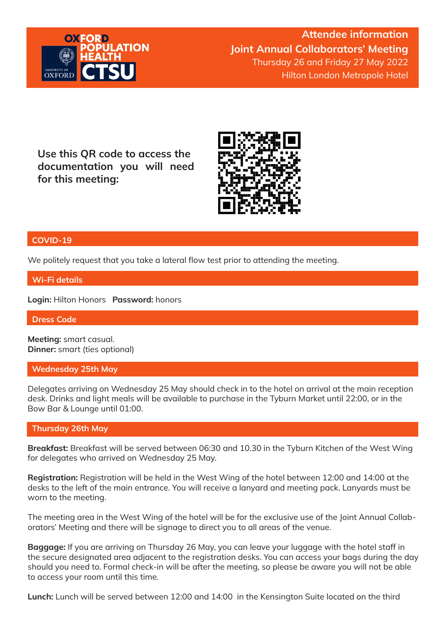

Attendee information Joint Annual Collaborators' Meeting Thursday 26 and Friday 27 May 2022 Hilton London Metropole Hotel

Use this QR code to access the documentation you will need for this meeting:



### COVID-19

We politely request that you take a lateral flow test prior to attending the meeting.

Wi-Fi details

Login: Hilton Honors Password: honors

Dress Code

Meeting: smart casual. Dinner: smart (ties optional)

#### Wednesday 25th May

Delegates arriving on Wednesday 25 May should check in to the hotel on arrival at the main reception desk. Drinks and light meals will be available to purchase in the Tyburn Market until 22:00, or in the Bow Bar & Lounge until 01:00.

### Thursday 26th May

Breakfast: Breakfast will be served between 06:30 and 10.30 in the Tyburn Kitchen of the West Wing for delegates who arrived on Wednesday 25 May.

Registration: Registration will be held in the West Wing of the hotel between 12:00 and 14:00 at the desks to the left of the main entrance. You will receive a lanyard and meeting pack. Lanyards must be worn to the meeting.

The meeting area in the West Wing of the hotel will be for the exclusive use of the Joint Annual Collaborators' Meeting and there will be signage to direct you to all areas of the venue.

Baggage: If you are arriving on Thursday 26 May, you can leave your luggage with the hotel staff in the secure designated area adjacent to the registration desks. You can access your bags during the day should you need to. Formal check-in will be after the meeting, so please be aware you will not be able to access your room until this time.

Lunch: Lunch will be served between 12:00 and 14:00 in the Kensington Suite located on the third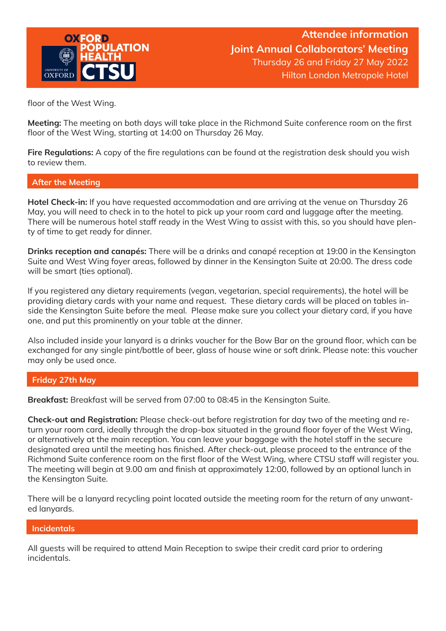

floor of the West Wing.

Meeting: The meeting on both days will take place in the Richmond Suite conference room on the first floor of the West Wing, starting at 14:00 on Thursday 26 May.

Fire Regulations: A copy of the fire regulations can be found at the registration desk should you wish to review them.

## After the Meeting

Hotel Check-in: If you have requested accommodation and are arriving at the venue on Thursday 26 May, you will need to check in to the hotel to pick up your room card and luggage after the meeting. There will be numerous hotel staff ready in the West Wing to assist with this, so you should have plenty of time to get ready for dinner.

Drinks reception and canapés: There will be a drinks and canapé reception at 19:00 in the Kensington Suite and West Wing foyer areas, followed by dinner in the Kensington Suite at 20:00. The dress code will be smart (ties optional).

If you registered any dietary requirements (vegan, vegetarian, special requirements), the hotel will be providing dietary cards with your name and request. These dietary cards will be placed on tables inside the Kensington Suite before the meal. Please make sure you collect your dietary card, if you have one, and put this prominently on your table at the dinner.

Also included inside your lanyard is a drinks voucher for the Bow Bar on the ground floor, which can be exchanged for any single pint/bottle of beer, glass of house wine or soft drink. Please note: this voucher may only be used once.

### Friday 27th May

Breakfast: Breakfast will be served from 07:00 to 08:45 in the Kensington Suite.

Check-out and Registration: Please check-out before registration for day two of the meeting and return your room card, ideally through the drop-box situated in the ground floor foyer of the West Wing, or alternatively at the main reception. You can leave your baggage with the hotel staff in the secure designated area until the meeting has finished. After check-out, please proceed to the entrance of the Richmond Suite conference room on the first floor of the West Wing, where CTSU staff will register you. The meeting will begin at 9.00 am and finish at approximately 12:00, followed by an optional lunch in the Kensington Suite.

There will be a lanyard recycling point located outside the meeting room for the return of any unwanted lanyards.

### **Incidentals**

All guests will be required to attend Main Reception to swipe their credit card prior to ordering incidentals.